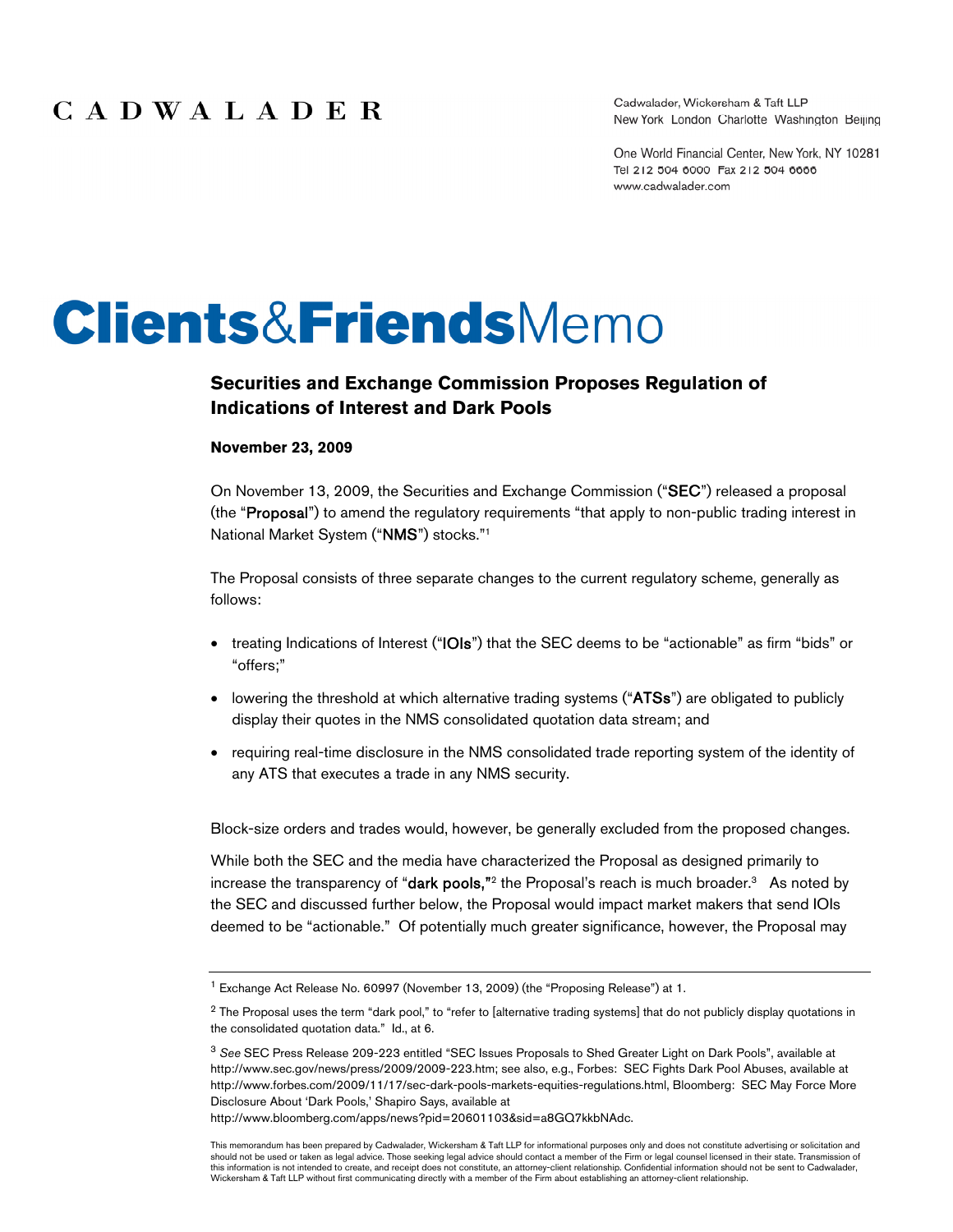Cadwalader, Wickersham & Taft LLP New York London Charlotte Washington Beijing

One World Financial Center, New York, NY 10281 Tel 212 504 6000 Fax 212 504 6666 www.cadwalader.com

# **Clients&FriendsMemo**

## **Securities and Exchange Commission Proposes Regulation of Indications of Interest and Dark Pools**

#### **November 23, 2009**

On November 13, 2009, the Securities and Exchange Commission ("SEC") released a proposal (the "Proposal") to amend the regulatory requirements "that apply to non-public trading interest in National Market System ("NMS") stocks."1

The Proposal consists of three separate changes to the current regulatory scheme, generally as follows:

- treating Indications of Interest ("IOIs") that the SEC deems to be "actionable" as firm "bids" or "offers;"
- lowering the threshold at which alternative trading systems ("ATSs") are obligated to publicly display their quotes in the NMS consolidated quotation data stream; and
- requiring real-time disclosure in the NMS consolidated trade reporting system of the identity of any ATS that executes a trade in any NMS security.

Block-size orders and trades would, however, be generally excluded from the proposed changes.

While both the SEC and the media have characterized the Proposal as designed primarily to increase the transparency of "dark pools,"<sup>2</sup> the Proposal's reach is much broader.<sup>3</sup> As noted by the SEC and discussed further below, the Proposal would impact market makers that send IOIs deemed to be "actionable." Of potentially much greater significance, however, the Proposal may

http://www.bloomberg.com/apps/news?pid=20601103&sid=a8GQ7kkbNAdc.

<sup>&</sup>lt;sup>1</sup> Exchange Act Release No. 60997 (November 13, 2009) (the "Proposing Release") at 1.

<sup>&</sup>lt;sup>2</sup> The Proposal uses the term "dark pool," to "refer to [alternative trading systems] that do not publicly display quotations in the consolidated quotation data." Id., at 6.

<sup>3</sup> *See* SEC Press Release 209-223 entitled "SEC Issues Proposals to Shed Greater Light on Dark Pools", available at http://www.sec.gov/news/press/2009/2009-223.htm; see also, e.g., Forbes: SEC Fights Dark Pool Abuses, available at http://www.forbes.com/2009/11/17/sec-dark-pools-markets-equities-regulations.html, Bloomberg: SEC May Force More Disclosure About 'Dark Pools,' Shapiro Says, available at

This memorandum has been prepared by Cadwalader, Wickersham & Taft LLP for informational purposes only and does not constitute advertising or solicitation and should not be used or taken as legal advice. Those seeking legal advice should contact a member of the Firm or legal counsel licensed in their state. Transmission of this information is not intended to create, and receipt does not constitute, an attorney-client relationship. Confidential information should not be sent to Cadwalader,<br>Wickersham & Taft LLP without first communicating dir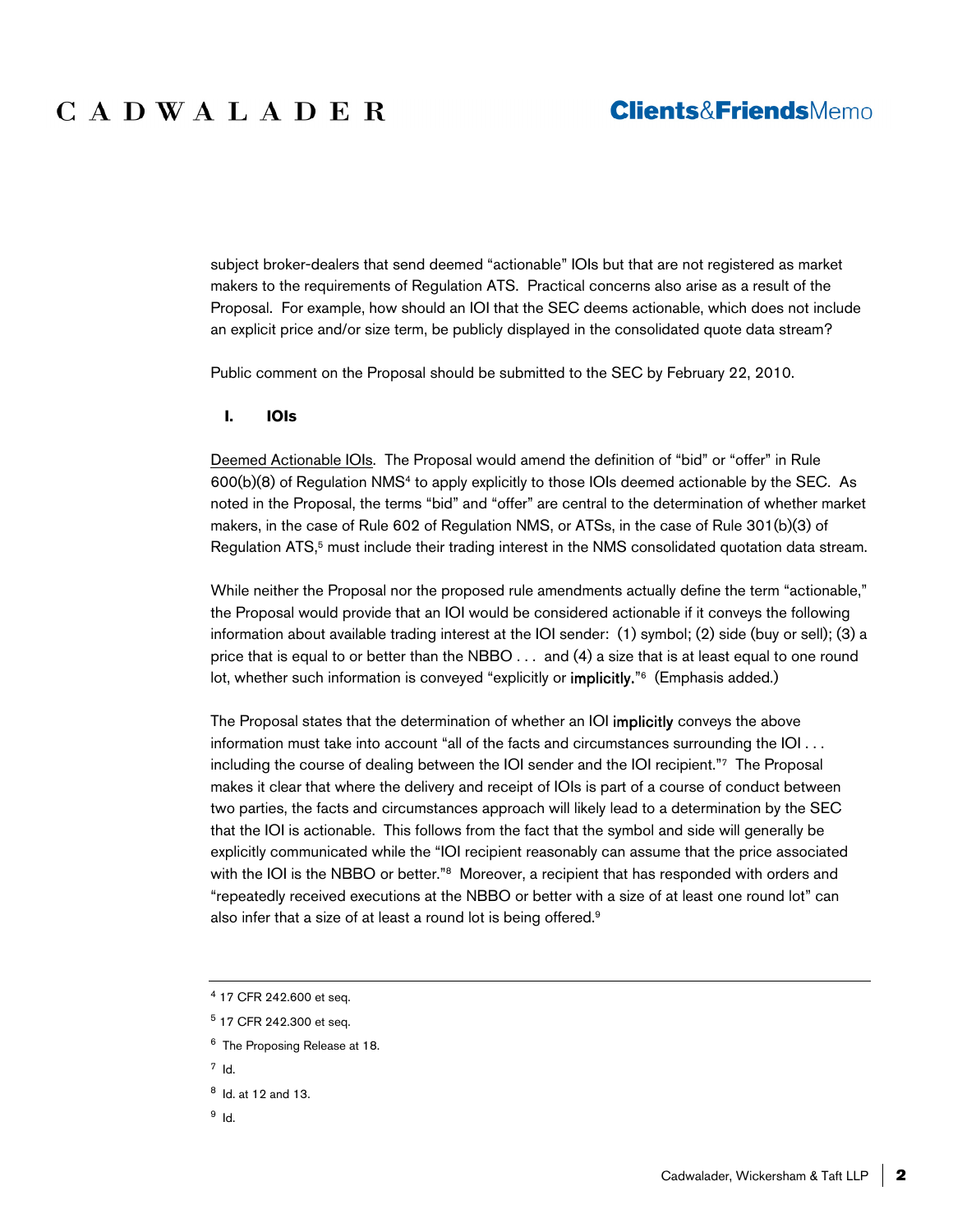subject broker-dealers that send deemed "actionable" IOIs but that are not registered as market makers to the requirements of Regulation ATS. Practical concerns also arise as a result of the Proposal. For example, how should an IOI that the SEC deems actionable, which does not include an explicit price and/or size term, be publicly displayed in the consolidated quote data stream?

Public comment on the Proposal should be submitted to the SEC by February 22, 2010.

**I. IOIs** 

Deemed Actionable IOIs. The Proposal would amend the definition of "bid" or "offer" in Rule 600(b)(8) of Regulation NMS4 to apply explicitly to those IOIs deemed actionable by the SEC. As noted in the Proposal, the terms "bid" and "offer" are central to the determination of whether market makers, in the case of Rule 602 of Regulation NMS, or ATSs, in the case of Rule 301(b)(3) of Regulation ATS,<sup>5</sup> must include their trading interest in the NMS consolidated quotation data stream.

While neither the Proposal nor the proposed rule amendments actually define the term "actionable," the Proposal would provide that an IOI would be considered actionable if it conveys the following information about available trading interest at the IOI sender: (1) symbol; (2) side (buy or sell); (3) a price that is equal to or better than the NBBO . . . and (4) a size that is at least equal to one round lot, whether such information is conveyed "explicitly or **implicitly.**"<sup>6</sup> (Emphasis added.)

The Proposal states that the determination of whether an IOI implicitly conveys the above information must take into account "all of the facts and circumstances surrounding the IOI . . . including the course of dealing between the IOI sender and the IOI recipient."7 The Proposal makes it clear that where the delivery and receipt of IOIs is part of a course of conduct between two parties, the facts and circumstances approach will likely lead to a determination by the SEC that the IOI is actionable. This follows from the fact that the symbol and side will generally be explicitly communicated while the "IOI recipient reasonably can assume that the price associated with the IOI is the NBBO or better."<sup>8</sup> Moreover, a recipient that has responded with orders and "repeatedly received executions at the NBBO or better with a size of at least one round lot" can also infer that a size of at least a round lot is being offered.9

7 Id.

9 Id.

<sup>4 17</sup> CFR 242.600 et seq.

<sup>5 17</sup> CFR 242.300 et seq.

<sup>6</sup> The Proposing Release at 18.

<sup>8</sup> Id. at 12 and 13.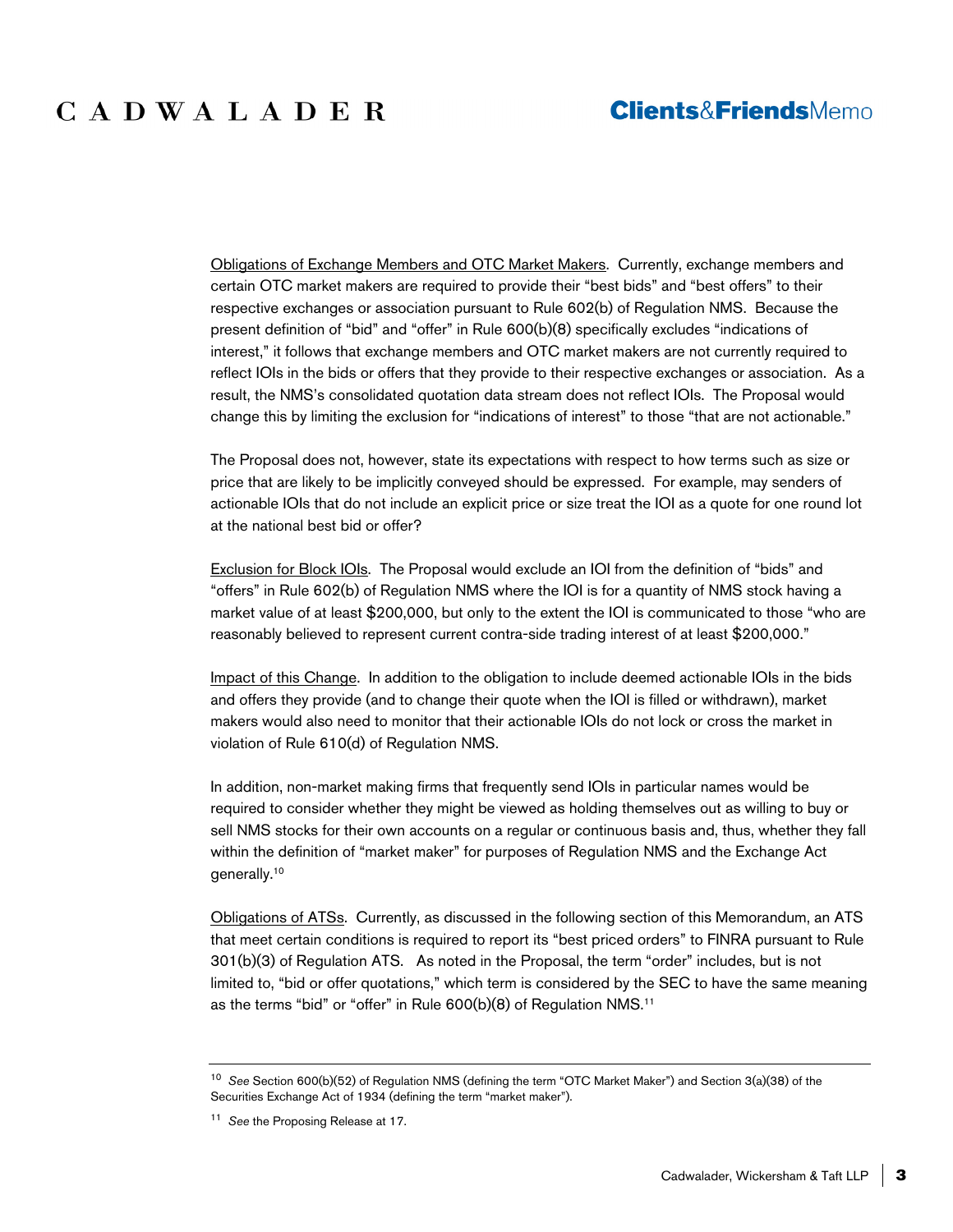Obligations of Exchange Members and OTC Market Makers. Currently, exchange members and certain OTC market makers are required to provide their "best bids" and "best offers" to their respective exchanges or association pursuant to Rule 602(b) of Regulation NMS. Because the present definition of "bid" and "offer" in Rule 600(b)(8) specifically excludes "indications of interest," it follows that exchange members and OTC market makers are not currently required to reflect IOIs in the bids or offers that they provide to their respective exchanges or association. As a result, the NMS's consolidated quotation data stream does not reflect IOIs. The Proposal would change this by limiting the exclusion for "indications of interest" to those "that are not actionable."

The Proposal does not, however, state its expectations with respect to how terms such as size or price that are likely to be implicitly conveyed should be expressed. For example, may senders of actionable IOIs that do not include an explicit price or size treat the IOI as a quote for one round lot at the national best bid or offer?

Exclusion for Block IOIs. The Proposal would exclude an IOI from the definition of "bids" and "offers" in Rule 602(b) of Regulation NMS where the IOI is for a quantity of NMS stock having a market value of at least \$200,000, but only to the extent the IOI is communicated to those "who are reasonably believed to represent current contra-side trading interest of at least \$200,000."

Impact of this Change. In addition to the obligation to include deemed actionable IOIs in the bids and offers they provide (and to change their quote when the IOI is filled or withdrawn), market makers would also need to monitor that their actionable IOIs do not lock or cross the market in violation of Rule 610(d) of Regulation NMS.

In addition, non-market making firms that frequently send IOIs in particular names would be required to consider whether they might be viewed as holding themselves out as willing to buy or sell NMS stocks for their own accounts on a regular or continuous basis and, thus, whether they fall within the definition of "market maker" for purposes of Regulation NMS and the Exchange Act generally.10

Obligations of ATSs. Currently, as discussed in the following section of this Memorandum, an ATS that meet certain conditions is required to report its "best priced orders" to FINRA pursuant to Rule 301(b)(3) of Regulation ATS. As noted in the Proposal, the term "order" includes, but is not limited to, "bid or offer quotations," which term is considered by the SEC to have the same meaning as the terms "bid" or "offer" in Rule 600(b)(8) of Regulation NMS.11

<sup>10</sup> *See* Section 600(b)(52) of Regulation NMS (defining the term "OTC Market Maker") and Section 3(a)(38) of the Securities Exchange Act of 1934 (defining the term "market maker").

<sup>11</sup> *See* the Proposing Release at 17.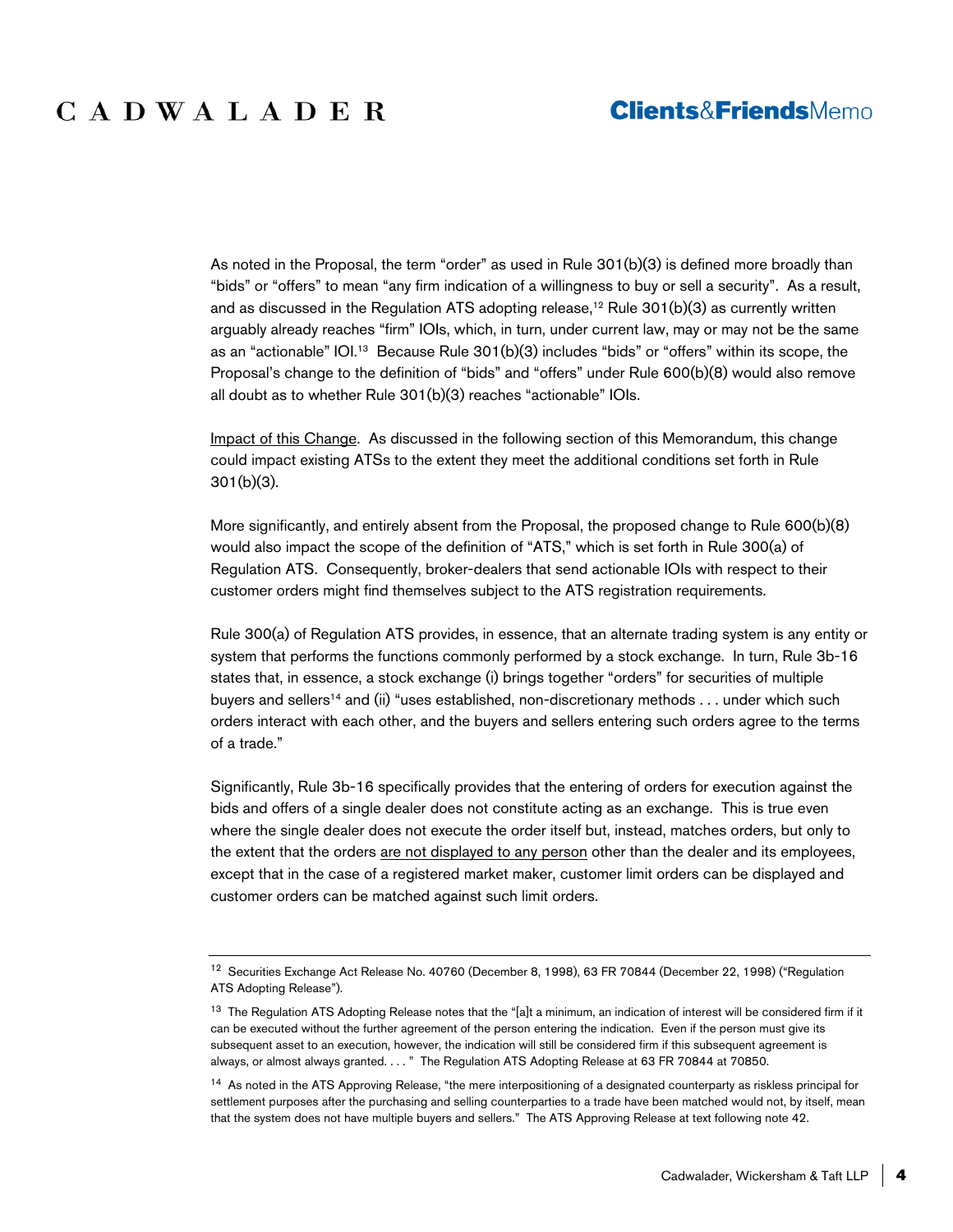As noted in the Proposal, the term "order" as used in Rule 301(b)(3) is defined more broadly than "bids" or "offers" to mean "any firm indication of a willingness to buy or sell a security". As a result, and as discussed in the Regulation ATS adopting release,<sup>12</sup> Rule  $301(b)(3)$  as currently written arguably already reaches "firm" IOIs, which, in turn, under current law, may or may not be the same as an "actionable" IOI.<sup>13</sup> Because Rule 301(b)(3) includes "bids" or "offers" within its scope, the Proposal's change to the definition of "bids" and "offers" under Rule 600(b)(8) would also remove all doubt as to whether Rule 301(b)(3) reaches "actionable" IOIs.

Impact of this Change. As discussed in the following section of this Memorandum, this change could impact existing ATSs to the extent they meet the additional conditions set forth in Rule 301(b)(3).

More significantly, and entirely absent from the Proposal, the proposed change to Rule 600(b)(8) would also impact the scope of the definition of "ATS," which is set forth in Rule 300(a) of Regulation ATS. Consequently, broker-dealers that send actionable IOIs with respect to their customer orders might find themselves subject to the ATS registration requirements.

Rule 300(a) of Regulation ATS provides, in essence, that an alternate trading system is any entity or system that performs the functions commonly performed by a stock exchange. In turn, Rule 3b-16 states that, in essence, a stock exchange (i) brings together "orders" for securities of multiple buyers and sellers<sup>14</sup> and (ii) "uses established, non-discretionary methods . . . under which such orders interact with each other, and the buyers and sellers entering such orders agree to the terms of a trade."

Significantly, Rule 3b-16 specifically provides that the entering of orders for execution against the bids and offers of a single dealer does not constitute acting as an exchange. This is true even where the single dealer does not execute the order itself but, instead, matches orders, but only to the extent that the orders are not displayed to any person other than the dealer and its employees, except that in the case of a registered market maker, customer limit orders can be displayed and customer orders can be matched against such limit orders.

<sup>12</sup> Securities Exchange Act Release No. 40760 (December 8, 1998), 63 FR 70844 (December 22, 1998) ("Regulation ATS Adopting Release").

<sup>&</sup>lt;sup>13</sup> The Regulation ATS Adopting Release notes that the "[a]t a minimum, an indication of interest will be considered firm if it can be executed without the further agreement of the person entering the indication. Even if the person must give its subsequent asset to an execution, however, the indication will still be considered firm if this subsequent agreement is always, or almost always granted. . . . " The Regulation ATS Adopting Release at 63 FR 70844 at 70850.

<sup>&</sup>lt;sup>14</sup> As noted in the ATS Approving Release, "the mere interpositioning of a designated counterparty as riskless principal for settlement purposes after the purchasing and selling counterparties to a trade have been matched would not, by itself, mean that the system does not have multiple buyers and sellers." The ATS Approving Release at text following note 42.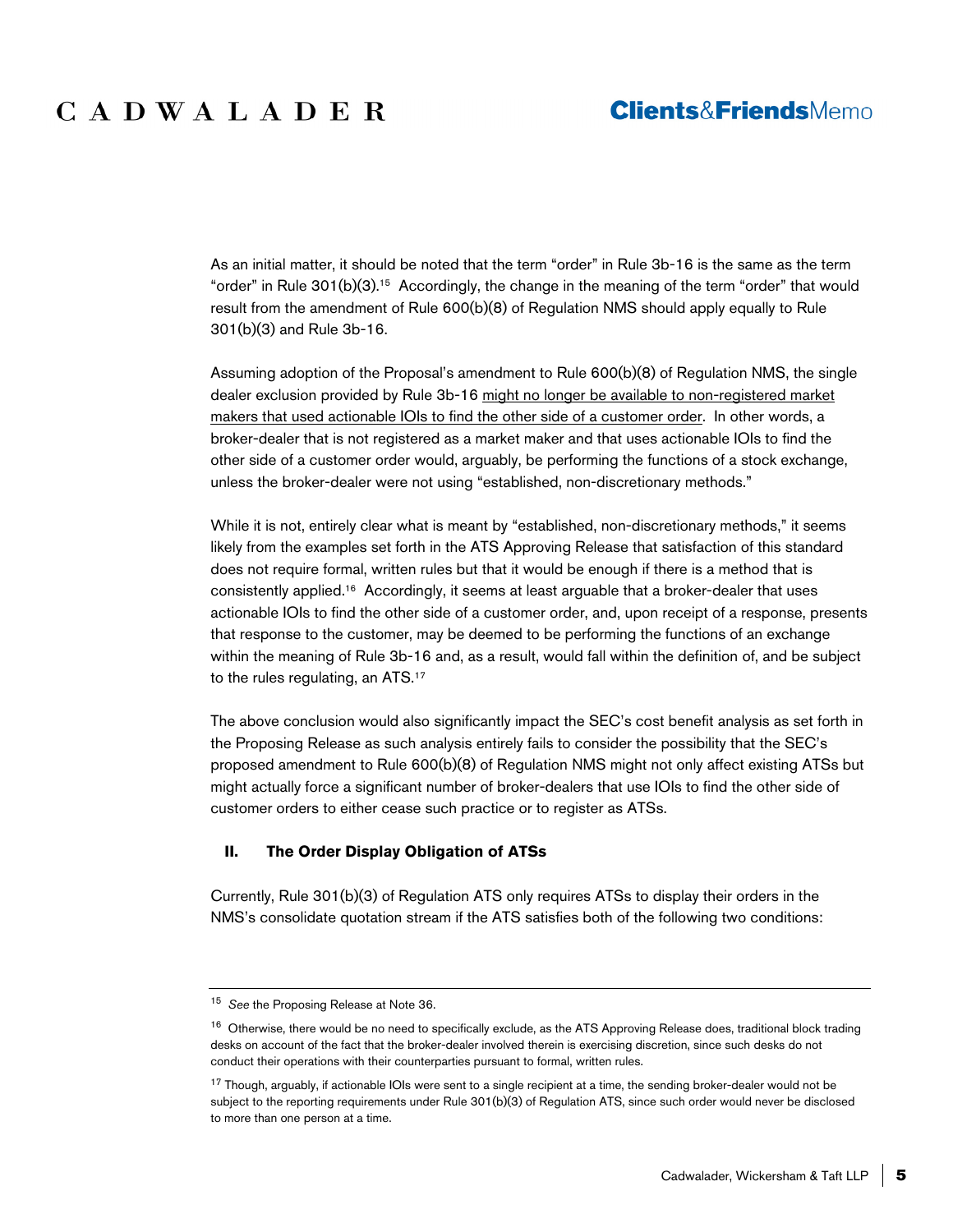As an initial matter, it should be noted that the term "order" in Rule 3b-16 is the same as the term "order" in Rule  $301(b)(3)$ .<sup>15</sup> Accordingly, the change in the meaning of the term "order" that would result from the amendment of Rule 600(b)(8) of Regulation NMS should apply equally to Rule 301(b)(3) and Rule 3b-16.

Assuming adoption of the Proposal's amendment to Rule 600(b)(8) of Regulation NMS, the single dealer exclusion provided by Rule 3b-16 might no longer be available to non-registered market makers that used actionable IOIs to find the other side of a customer order. In other words, a broker-dealer that is not registered as a market maker and that uses actionable IOIs to find the other side of a customer order would, arguably, be performing the functions of a stock exchange, unless the broker-dealer were not using "established, non-discretionary methods."

While it is not, entirely clear what is meant by "established, non-discretionary methods," it seems likely from the examples set forth in the ATS Approving Release that satisfaction of this standard does not require formal, written rules but that it would be enough if there is a method that is consistently applied.16 Accordingly, it seems at least arguable that a broker-dealer that uses actionable IOIs to find the other side of a customer order, and, upon receipt of a response, presents that response to the customer, may be deemed to be performing the functions of an exchange within the meaning of Rule 3b-16 and, as a result, would fall within the definition of, and be subject to the rules regulating, an ATS.17

The above conclusion would also significantly impact the SEC's cost benefit analysis as set forth in the Proposing Release as such analysis entirely fails to consider the possibility that the SEC's proposed amendment to Rule 600(b)(8) of Regulation NMS might not only affect existing ATSs but might actually force a significant number of broker-dealers that use IOIs to find the other side of customer orders to either cease such practice or to register as ATSs.

## **II. The Order Display Obligation of ATSs**

Currently, Rule 301(b)(3) of Regulation ATS only requires ATSs to display their orders in the NMS's consolidate quotation stream if the ATS satisfies both of the following two conditions:

<sup>15</sup> *See* the Proposing Release at Note 36.

<sup>&</sup>lt;sup>16</sup> Otherwise, there would be no need to specifically exclude, as the ATS Approving Release does, traditional block trading desks on account of the fact that the broker-dealer involved therein is exercising discretion, since such desks do not conduct their operations with their counterparties pursuant to formal, written rules.

<sup>&</sup>lt;sup>17</sup> Though, arguably, if actionable IOIs were sent to a single recipient at a time, the sending broker-dealer would not be subject to the reporting requirements under Rule 301(b)(3) of Regulation ATS, since such order would never be disclosed to more than one person at a time.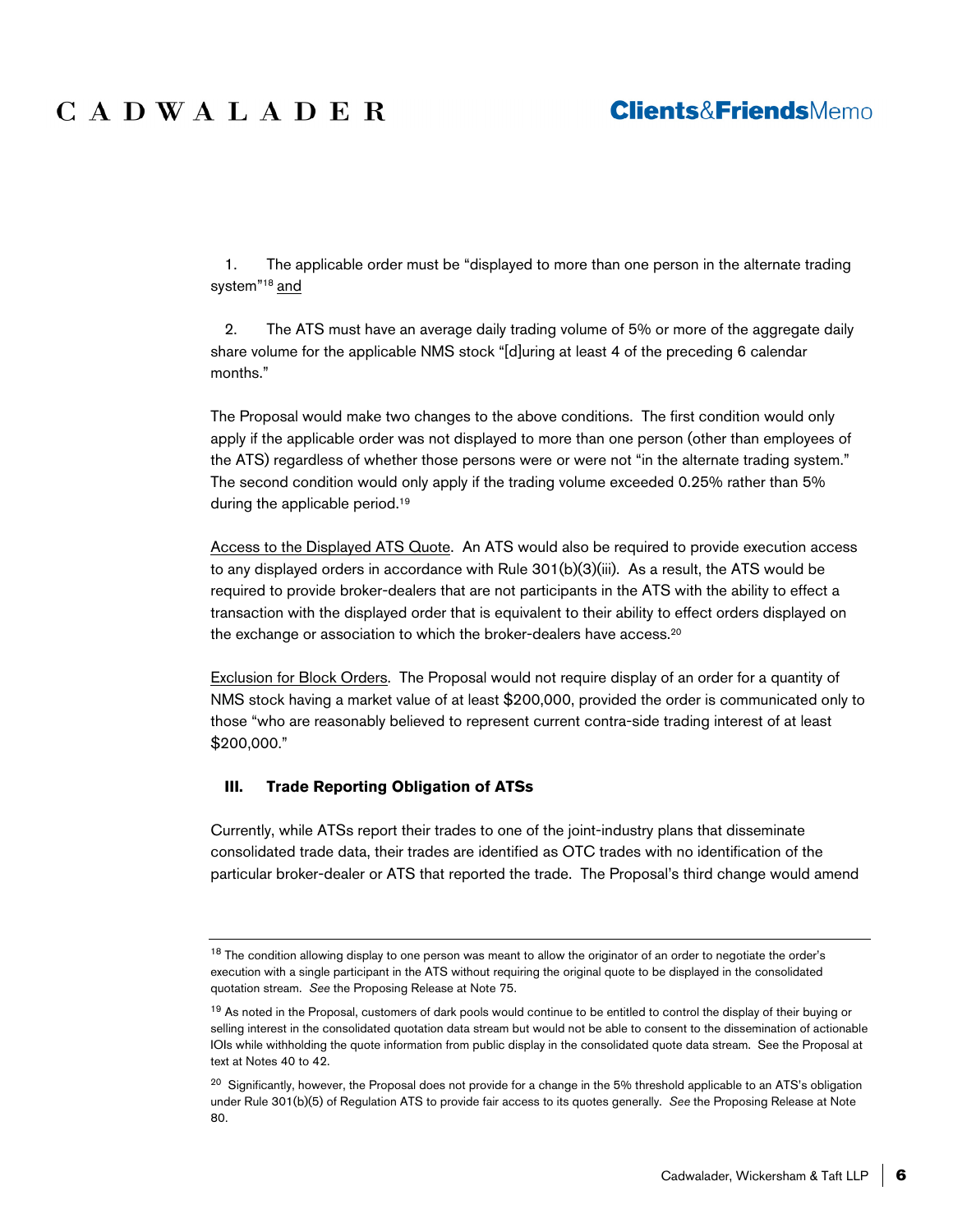## **Clients&FriendsMemo**

1. The applicable order must be "displayed to more than one person in the alternate trading system"18 and

2. The ATS must have an average daily trading volume of 5% or more of the aggregate daily share volume for the applicable NMS stock "[d]uring at least 4 of the preceding 6 calendar months."

The Proposal would make two changes to the above conditions. The first condition would only apply if the applicable order was not displayed to more than one person (other than employees of the ATS) regardless of whether those persons were or were not "in the alternate trading system." The second condition would only apply if the trading volume exceeded 0.25% rather than 5% during the applicable period.<sup>19</sup>

Access to the Displayed ATS Quote. An ATS would also be required to provide execution access to any displayed orders in accordance with Rule 301(b)(3)(iii). As a result, the ATS would be required to provide broker-dealers that are not participants in the ATS with the ability to effect a transaction with the displayed order that is equivalent to their ability to effect orders displayed on the exchange or association to which the broker-dealers have access.<sup>20</sup>

Exclusion for Block Orders. The Proposal would not require display of an order for a quantity of NMS stock having a market value of at least \$200,000, provided the order is communicated only to those "who are reasonably believed to represent current contra-side trading interest of at least \$200,000."

### **III. Trade Reporting Obligation of ATSs**

Currently, while ATSs report their trades to one of the joint-industry plans that disseminate consolidated trade data, their trades are identified as OTC trades with no identification of the particular broker-dealer or ATS that reported the trade. The Proposal's third change would amend

<sup>&</sup>lt;sup>18</sup> The condition allowing display to one person was meant to allow the originator of an order to negotiate the order's execution with a single participant in the ATS without requiring the original quote to be displayed in the consolidated quotation stream. *See* the Proposing Release at Note 75.

<sup>&</sup>lt;sup>19</sup> As noted in the Proposal, customers of dark pools would continue to be entitled to control the display of their buying or selling interest in the consolidated quotation data stream but would not be able to consent to the dissemination of actionable IOIs while withholding the quote information from public display in the consolidated quote data stream. See the Proposal at text at Notes 40 to 42.

<sup>&</sup>lt;sup>20</sup> Significantly, however, the Proposal does not provide for a change in the 5% threshold applicable to an ATS's obligation under Rule 301(b)(5) of Regulation ATS to provide fair access to its quotes generally. *See* the Proposing Release at Note 80.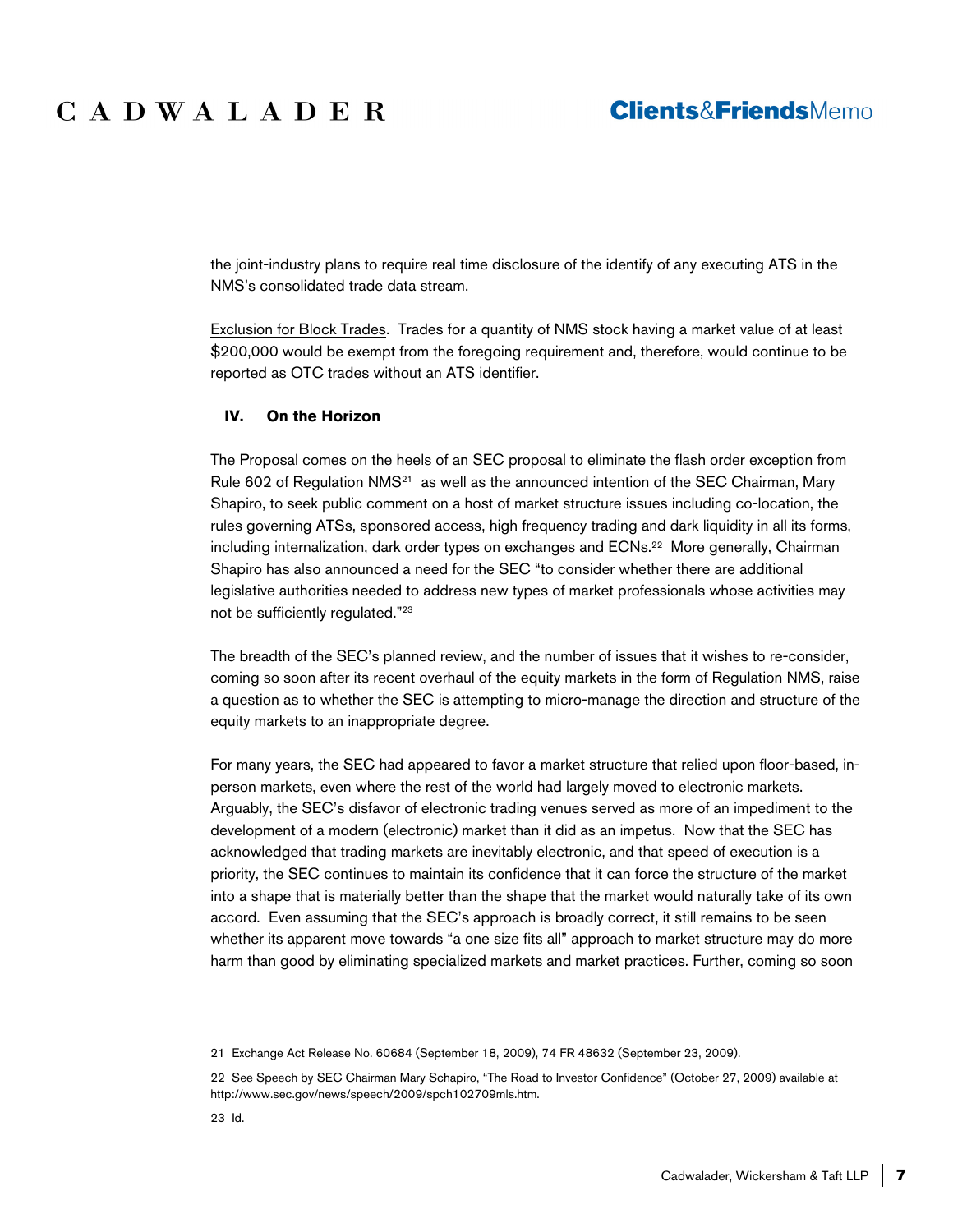the joint-industry plans to require real time disclosure of the identify of any executing ATS in the NMS's consolidated trade data stream.

Exclusion for Block Trades. Trades for a quantity of NMS stock having a market value of at least \$200,000 would be exempt from the foregoing requirement and, therefore, would continue to be reported as OTC trades without an ATS identifier.

#### **IV. On the Horizon**

The Proposal comes on the heels of an SEC proposal to eliminate the flash order exception from Rule 602 of Regulation NMS<sup>21</sup> as well as the announced intention of the SEC Chairman, Mary Shapiro, to seek public comment on a host of market structure issues including co-location, the rules governing ATSs, sponsored access, high frequency trading and dark liquidity in all its forms, including internalization, dark order types on exchanges and ECNs.<sup>22</sup> More generally, Chairman Shapiro has also announced a need for the SEC "to consider whether there are additional legislative authorities needed to address new types of market professionals whose activities may not be sufficiently regulated."23

The breadth of the SEC's planned review, and the number of issues that it wishes to re-consider, coming so soon after its recent overhaul of the equity markets in the form of Regulation NMS, raise a question as to whether the SEC is attempting to micro-manage the direction and structure of the equity markets to an inappropriate degree.

For many years, the SEC had appeared to favor a market structure that relied upon floor-based, inperson markets, even where the rest of the world had largely moved to electronic markets. Arguably, the SEC's disfavor of electronic trading venues served as more of an impediment to the development of a modern (electronic) market than it did as an impetus. Now that the SEC has acknowledged that trading markets are inevitably electronic, and that speed of execution is a priority, the SEC continues to maintain its confidence that it can force the structure of the market into a shape that is materially better than the shape that the market would naturally take of its own accord. Even assuming that the SEC's approach is broadly correct, it still remains to be seen whether its apparent move towards "a one size fits all" approach to market structure may do more harm than good by eliminating specialized markets and market practices. Further, coming so soon

<sup>21</sup> Exchange Act Release No. 60684 (September 18, 2009), 74 FR 48632 (September 23, 2009).

<sup>22</sup> See Speech by SEC Chairman Mary Schapiro, "The Road to Investor Confidence" (October 27, 2009) available at http://www.sec.gov/news/speech/2009/spch102709mls.htm.